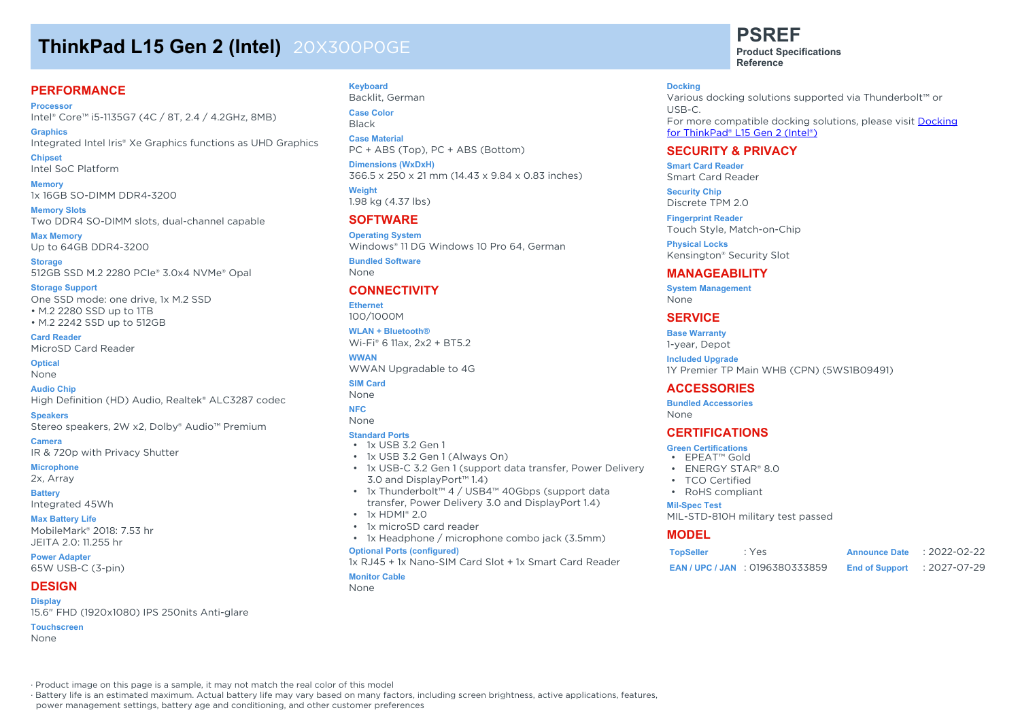# **ThinkPad L15 Gen 2 (Intel)** 20X300P0GE

#### **PERFORMANCE**

**Processor** Intel® Core™ i5-1135G7 (4C / 8T, 2.4 / 4.2GHz, 8MB)

**Graphics** Integrated Intel Iris® Xe Graphics functions as UHD Graphics **Chipset**

Intel SoC Platform

**Memory** 1x 16GB SO-DIMM DDR4-3200

**Memory Slots** Two DDR4 SO-DIMM slots, dual-channel capable

**Max Memory** Up to 64GB DDR4-3200

**Storage** 512GB SSD M.2 2280 PCIe® 3.0x4 NVMe® Opal

**Storage Support** One SSD mode: one drive, 1x M.2 SSD • M.2 2280 SSD up to 1TB • M.2 2242 SSD up to 512GB

**Card Reader** MicroSD Card Reader

**Optical** None

**Audio Chip** High Definition (HD) Audio, Realtek® ALC3287 codec

**Speakers** Stereo speakers, 2W x2, Dolby® Audio™ Premium

**Camera** IR & 720p with Privacy Shutter

**Microphone**

2x, Array

**Battery** Integrated 45Wh

#### **Max Battery Life**

MobileMark® 2018: 7.53 hr JEITA 2.0: 11.255 hr

**Power Adapter** 65W USB-C (3-pin)

#### **DESIGN**

**Display**

15.6" FHD (1920x1080) IPS 250nits Anti-glare

**Touchscreen** None

**Keyboard** Backlit, German **Case Color**

Black **Case Material** PC + ABS (Top), PC + ABS (Bottom)

**Dimensions (WxDxH)** 366.5 x 250 x 21 mm (14.43 x 9.84 x 0.83 inches)

**Weight** 1.98 kg (4.37 lbs)

#### **SOFTWARE**

**Operating System** Windows® 11 DG Windows 10 Pro 64, German

**Bundled Software** None

#### **CONNECTIVITY**

**Ethernet** 100/1000M

**WLAN + Bluetooth®** Wi-Fi® 6 11ax, 2x2 + BT5.2

**WWAN** WWAN Upgradable to 4G

**SIM Card** None

**NFC**

None

#### **Standard Ports**

- 1x USB 3.2 Gen 1
- 1x USB 3.2 Gen 1 (Always On)
- 1x USB-C 3.2 Gen 1 (support data transfer, Power Delivery 3.0 and DisplayPort™ 1.4)
- 1x Thunderbolt™ 4 / USB4™ 40Gbps (support data transfer, Power Delivery 3.0 and DisplayPort 1.4)
- $\cdot$  1x HDMI® 2.0
- 1x microSD card reader
- 1x Headphone / microphone combo jack (3.5mm)

#### **Optional Ports (configured)**

1x RJ45 + 1x Nano-SIM Card Slot + 1x Smart Card Reader

#### **Monitor Cable** None

**PSREF**

**Product Specifications Reference**

#### **Docking**

Various docking solutions supported via Thunderbolt™ or USB-C. For more compatible docking solutions, please visit Docking for ThinkPad® L15 Gen 2 (Intel®)

#### **SECURITY & PRIVACY**

**Smart Card Reader** Smart Card Reader

**Security Chip** Discrete TPM 2.0

**Fingerprint Reader** Touch Style, Match-on-Chip

**Physical Locks** Kensington® Security Slot

#### **MANAGEABILITY**

**System Management** None

#### **SERVICE**

**Base Warranty** 1-year, Depot

**Included Upgrade** 1Y Premier TP Main WHB (CPN) (5WS1B09491)

#### **ACCESSORIES**

**Bundled Accessories** None

#### **CERTIFICATIONS**

- **Green Certifications** • EPEAT™ Gold
- 
- ENERGY STAR® 8.0
- TCO Certified
- RoHS compliant

#### **Mil-Spec Test**

MIL-STD-810H military test passed

#### **MODEL**

| <b>TopSeller</b> | : Yes                             | <b>Announce Date</b>  | $: 2022 - 02 - 22$ |
|------------------|-----------------------------------|-----------------------|--------------------|
|                  | <b>EAN/UPC/JAN: 0196380333859</b> | <b>End of Support</b> | : 2027-07-29       |

· Product image on this page is a sample, it may not match the real color of this model

· Battery life is an estimated maximum. Actual battery life may vary based on many factors, including screen brightness, active applications, features,

power management settings, battery age and conditioning, and other customer preferences